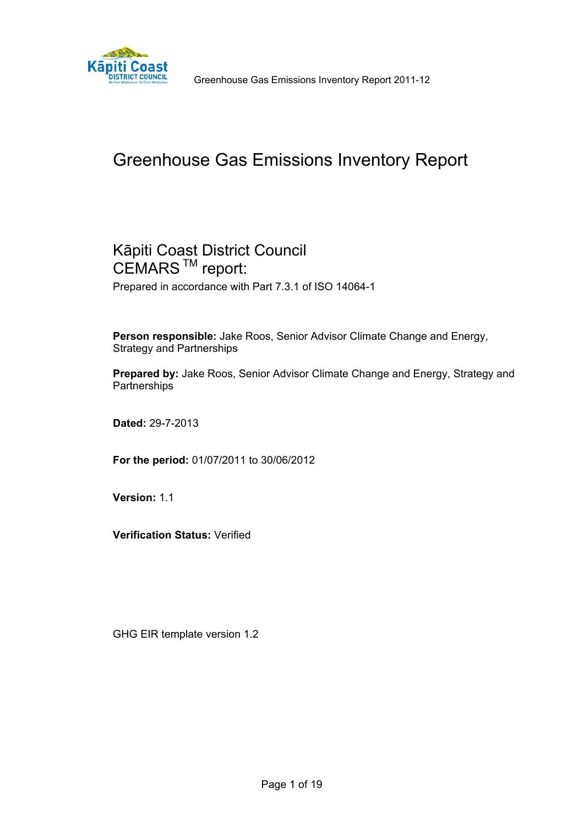

**Käpiti Coast**<br> **CORAGO GREEN GESTARCH CONCLETED GESTARCH CONCRET GOUNGLE** Greenhouse Gas Emissions Inventory Report 2011-12

# Greenhouse Gas Emissions Inventory Report

## Kāpiti Coast District Council CEMARS<sup>™</sup> report: Prepared in accordance with Part 7.3.1 of ISO 14064-1

**Person responsible:** Jake Roos, Senior Advisor Climate Change and Energy, Strategy and Partnerships

**Prepared by:** Jake Roos, Senior Advisor Climate Change and Energy, Strategy and **Partnerships** 

**Dated:** 29-7-2013

**For the period:** 01/07/2011 to 30/06/2012

**Version:** 1.1

**Verification Status:** Verified

GHG EIR template version 1.2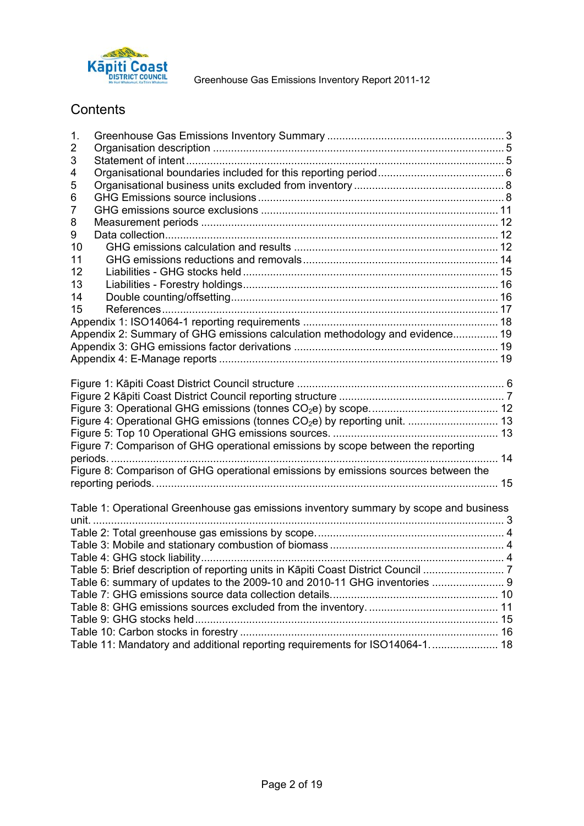

**Käpiti Coast**<br>**CORPORT:** Greenhouse Gas Emissions Inventory Report 2011-12

# **Contents**

| 1. |                                                                                       |  |
|----|---------------------------------------------------------------------------------------|--|
| 2  |                                                                                       |  |
| 3  |                                                                                       |  |
| 4  |                                                                                       |  |
| 5  |                                                                                       |  |
| 6  |                                                                                       |  |
| 7  |                                                                                       |  |
| 8  |                                                                                       |  |
| 9  |                                                                                       |  |
| 10 |                                                                                       |  |
| 11 |                                                                                       |  |
| 12 |                                                                                       |  |
| 13 |                                                                                       |  |
| 14 |                                                                                       |  |
| 15 |                                                                                       |  |
|    |                                                                                       |  |
|    | Appendix 2: Summary of GHG emissions calculation methodology and evidence 19          |  |
|    |                                                                                       |  |
|    |                                                                                       |  |
|    |                                                                                       |  |
|    |                                                                                       |  |
|    |                                                                                       |  |
|    |                                                                                       |  |
|    | Figure 4: Operational GHG emissions (tonnes CO <sub>2</sub> e) by reporting unit.  13 |  |
|    |                                                                                       |  |
|    | Figure 7: Comparison of GHG operational emissions by scope between the reporting      |  |
|    |                                                                                       |  |
|    | Figure 8: Comparison of GHG operational emissions by emissions sources between the    |  |
|    |                                                                                       |  |
|    |                                                                                       |  |
|    | Table 1: Operational Greenhouse gas emissions inventory summary by scope and business |  |
|    |                                                                                       |  |
|    |                                                                                       |  |
|    |                                                                                       |  |
|    |                                                                                       |  |
|    |                                                                                       |  |
|    | Table 6: summary of updates to the 2009-10 and 2010-11 GHG inventories  9             |  |
|    |                                                                                       |  |
|    |                                                                                       |  |
|    |                                                                                       |  |
|    |                                                                                       |  |
|    | Table 11: Mandatory and additional reporting requirements for ISO14064-1 18           |  |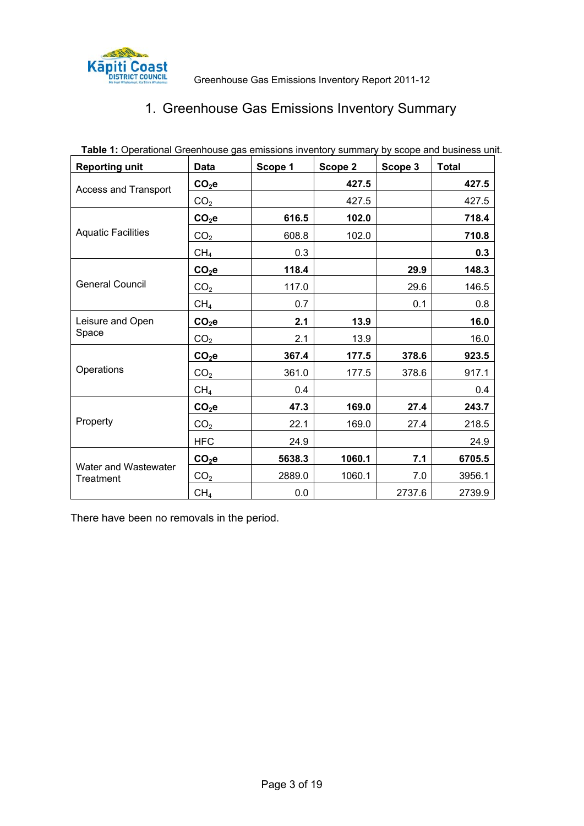

# 1. Greenhouse Gas Emissions Inventory Summary

| <b>Reporting unit</b>             | Data            | Scope 1 | Scope 2 | Scope 3 | <b>Total</b> |
|-----------------------------------|-----------------|---------|---------|---------|--------------|
| <b>Access and Transport</b>       | $CO2$ e         |         | 427.5   |         | 427.5        |
|                                   | CO <sub>2</sub> |         | 427.5   |         | 427.5        |
|                                   | $CO2$ e         | 616.5   | 102.0   |         | 718.4        |
| <b>Aquatic Facilities</b>         | CO <sub>2</sub> | 608.8   | 102.0   |         | 710.8        |
|                                   | CH <sub>4</sub> | 0.3     |         |         | 0.3          |
|                                   | $CO2$ e         | 118.4   |         | 29.9    | 148.3        |
| <b>General Council</b>            | CO <sub>2</sub> | 117.0   |         | 29.6    | 146.5        |
|                                   | CH <sub>4</sub> | 0.7     |         | 0.1     | 0.8          |
| Leisure and Open                  | $CO2$ e         | 2.1     | 13.9    |         | 16.0         |
| Space                             | CO <sub>2</sub> | 2.1     | 13.9    |         | 16.0         |
|                                   | $CO2$ e         | 367.4   | 177.5   | 378.6   | 923.5        |
| Operations                        | CO <sub>2</sub> | 361.0   | 177.5   | 378.6   | 917.1        |
|                                   | CH <sub>4</sub> | 0.4     |         |         | 0.4          |
|                                   | $CO2$ e         | 47.3    | 169.0   | 27.4    | 243.7        |
| Property                          | CO <sub>2</sub> | 22.1    | 169.0   | 27.4    | 218.5        |
|                                   | <b>HFC</b>      | 24.9    |         |         | 24.9         |
|                                   | $CO2$ e         | 5638.3  | 1060.1  | 7.1     | 6705.5       |
| Water and Wastewater<br>Treatment | CO <sub>2</sub> | 2889.0  | 1060.1  | 7.0     | 3956.1       |
|                                   | CH <sub>4</sub> | 0.0     |         | 2737.6  | 2739.9       |

Table 1: Operational Greenhouse gas emissions inventory summary by scope and business unit.

There have been no removals in the period.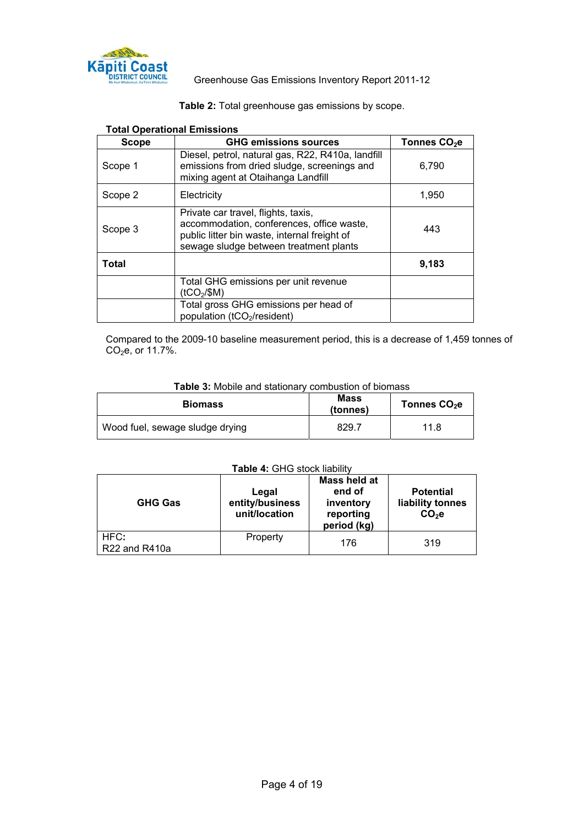

**Käpiti Coast**<br>**Consults** Greenhouse Gas Emissions Inventory Report 2011-12

| <b>Total Operational Emissions</b> |                                                                                                                                                                            |                          |  |  |  |
|------------------------------------|----------------------------------------------------------------------------------------------------------------------------------------------------------------------------|--------------------------|--|--|--|
| <b>Scope</b>                       | <b>GHG emissions sources</b>                                                                                                                                               | Tonnes CO <sub>2</sub> e |  |  |  |
| Scope 1                            | Diesel, petrol, natural gas, R22, R410a, landfill<br>emissions from dried sludge, screenings and<br>mixing agent at Otaihanga Landfill                                     | 6,790                    |  |  |  |
| Scope 2                            | Electricity                                                                                                                                                                | 1,950                    |  |  |  |
| Scope 3                            | Private car travel, flights, taxis,<br>accommodation, conferences, office waste,<br>public litter bin waste, internal freight of<br>sewage sludge between treatment plants | 443                      |  |  |  |
| Total                              |                                                                                                                                                                            | 9,183                    |  |  |  |
|                                    | Total GHG emissions per unit revenue<br>(tCO <sub>2</sub> /\$M)                                                                                                            |                          |  |  |  |
|                                    | Total gross GHG emissions per head of<br>population (tCO <sub>2</sub> /resident)                                                                                           |                          |  |  |  |

**Table 2:** Total greenhouse gas emissions by scope.

Compared to the 2009-10 baseline measurement period, this is a decrease of 1,459 tonnes of  $CO<sub>2</sub>e$ , or 11.7%.

| Table 3: Mobile and stationary combustion of biomass |  |
|------------------------------------------------------|--|
|------------------------------------------------------|--|

| <b>Biomass</b>                  | <b>Mass</b><br>(tonnes) | Tonnes CO <sub>2</sub> e |
|---------------------------------|-------------------------|--------------------------|
| Wood fuel, sewage sludge drying | 829.7                   | 11.8                     |

#### **Table 4:** GHG stock liability

| <b>GHG Gas</b>        | Legal<br>entity/business<br>unit/location | Mass held at<br>end of<br>inventory<br>reporting<br>period (kg) | <b>Potential</b><br>liability tonnes<br>$CO2$ e |
|-----------------------|-------------------------------------------|-----------------------------------------------------------------|-------------------------------------------------|
| HFC:<br>R22 and R410a | Property                                  | 176                                                             | 319                                             |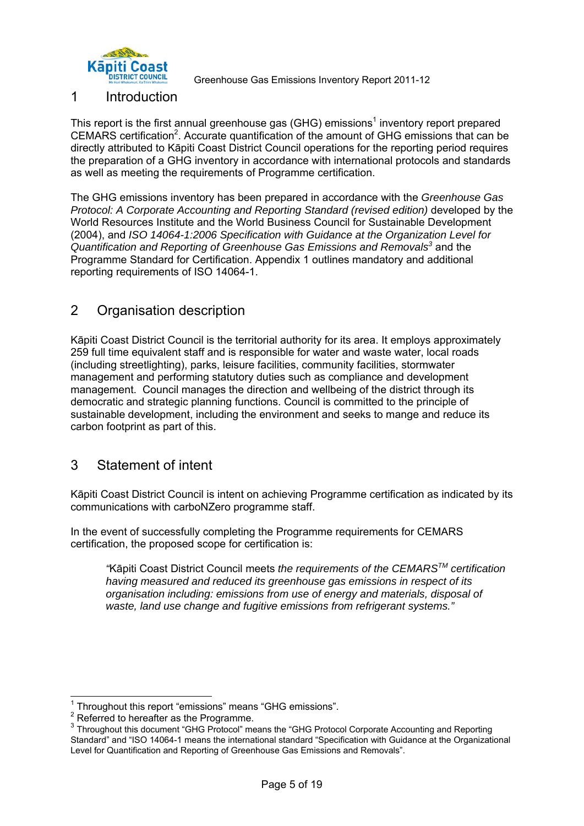

**DISTRICT COUNCIL <b>SERVICE CO**REGAN GREENHOUSE GAS Emissions Inventory Report 2011-12

### 1 Introduction

This report is the first annual greenhouse gas (GHG) emissions<sup>1</sup> inventory report prepared CEMARS certification<sup>2</sup>. Accurate quantification of the amount of GHG emissions that can be directly attributed to Kāpiti Coast District Council operations for the reporting period requires the preparation of a GHG inventory in accordance with international protocols and standards as well as meeting the requirements of Programme certification.

The GHG emissions inventory has been prepared in accordance with the *Greenhouse Gas Protocol: A Corporate Accounting and Reporting Standard (revised edition)* developed by the World Resources Institute and the World Business Council for Sustainable Development (2004), and *ISO 14064-1:2006 Specification with Guidance at the Organization Level for*  Quantification and Reporting of Greenhouse Gas Emissions and Removals<sup>3</sup> and the Programme Standard for Certification. Appendix 1 outlines mandatory and additional reporting requirements of ISO 14064-1.

### 2 Organisation description

Kāpiti Coast District Council is the territorial authority for its area. It employs approximately 259 full time equivalent staff and is responsible for water and waste water, local roads (including streetlighting), parks, leisure facilities, community facilities, stormwater management and performing statutory duties such as compliance and development management. Council manages the direction and wellbeing of the district through its democratic and strategic planning functions. Council is committed to the principle of sustainable development, including the environment and seeks to mange and reduce its carbon footprint as part of this.

### 3 Statement of intent

Kāpiti Coast District Council is intent on achieving Programme certification as indicated by its communications with carboNZero programme staff.

In the event of successfully completing the Programme requirements for CEMARS certification, the proposed scope for certification is:

*"*Kāpiti Coast District Council meets *the requirements of the CEMARSTM certification having measured and reduced its greenhouse gas emissions in respect of its organisation including: emissions from use of energy and materials, disposal of waste, land use change and fugitive emissions from refrigerant systems."* 

1

<sup>&</sup>lt;sup>1</sup> Throughout this report "emissions" means "GHG emissions".

 $2$  Referred to hereafter as the Programme.

<sup>&</sup>lt;sup>3</sup> Throughout this document "GHG Protocol" means the "GHG Protocol Corporate Accounting and Reporting Standard" and "ISO 14064-1 means the international standard "Specification with Guidance at the Organizational Level for Quantification and Reporting of Greenhouse Gas Emissions and Removals".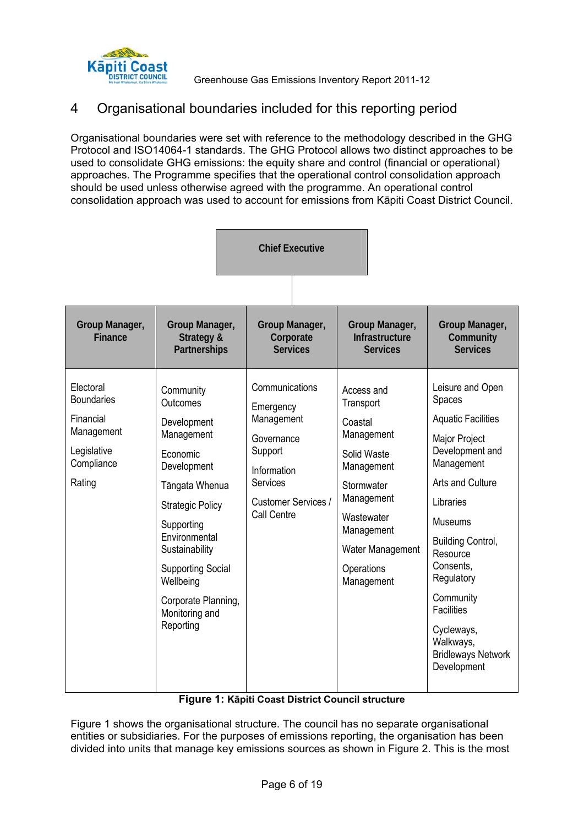

Greenhouse Gas Emissions Inventory Report 2011-12

### 4 Organisational boundaries included for this reporting period

Organisational boundaries were set with reference to the methodology described in the GHG Protocol and ISO14064-1 standards. The GHG Protocol allows two distinct approaches to be used to consolidate GHG emissions: the equity share and control (financial or operational) approaches. The Programme specifies that the operational control consolidation approach should be used unless otherwise agreed with the programme. An operational control consolidation approach was used to account for emissions from Kāpiti Coast District Council.

| <b>Chief Executive</b>                                                                           |                                                                                                                                                                                                                                                                                   |                                                                                                                                            |  |                                                                                             |                                                                                        |                                                                                                                                                                                                                                                                                                                                          |
|--------------------------------------------------------------------------------------------------|-----------------------------------------------------------------------------------------------------------------------------------------------------------------------------------------------------------------------------------------------------------------------------------|--------------------------------------------------------------------------------------------------------------------------------------------|--|---------------------------------------------------------------------------------------------|----------------------------------------------------------------------------------------|------------------------------------------------------------------------------------------------------------------------------------------------------------------------------------------------------------------------------------------------------------------------------------------------------------------------------------------|
| Group Manager,<br><b>Finance</b>                                                                 | Group Manager,<br>Strategy &<br>Partnerships                                                                                                                                                                                                                                      | Group Manager,<br>Corporate<br><b>Services</b>                                                                                             |  |                                                                                             | Group Manager,<br>Infrastructure<br><b>Services</b>                                    | Group Manager,<br>Community<br><b>Services</b>                                                                                                                                                                                                                                                                                           |
| Electoral<br><b>Boundaries</b><br>Financial<br>Management<br>Legislative<br>Compliance<br>Rating | Community<br><b>Outcomes</b><br>Development<br>Management<br>Economic<br>Development<br>Tāngata Whenua<br><b>Strategic Policy</b><br>Supporting<br>Environmental<br>Sustainability<br><b>Supporting Social</b><br>Wellbeing<br>Corporate Planning,<br>Monitoring and<br>Reporting | Communications<br>Emergency<br>Management<br>Governance<br>Support<br>Information<br><b>Services</b><br>Customer Services /<br>Call Centre |  | Access and<br>Transport<br>Coastal<br>Solid Waste<br>Stormwater<br>Wastewater<br>Operations | Management<br>Management<br>Management<br>Management<br>Water Management<br>Management | Leisure and Open<br>Spaces<br><b>Aquatic Facilities</b><br>Major Project<br>Development and<br>Management<br>Arts and Culture<br>Libraries<br><b>Museums</b><br><b>Building Control,</b><br>Resource<br>Consents,<br>Regulatory<br>Community<br><b>Facilities</b><br>Cycleways,<br>Walkways,<br><b>Bridleways Network</b><br>Development |

#### **Figure 1: Kāpiti Coast District Council structure**

Figure 1 shows the organisational structure. The council has no separate organisational entities or subsidiaries. For the purposes of emissions reporting, the organisation has been divided into units that manage key emissions sources as shown in Figure 2. This is the most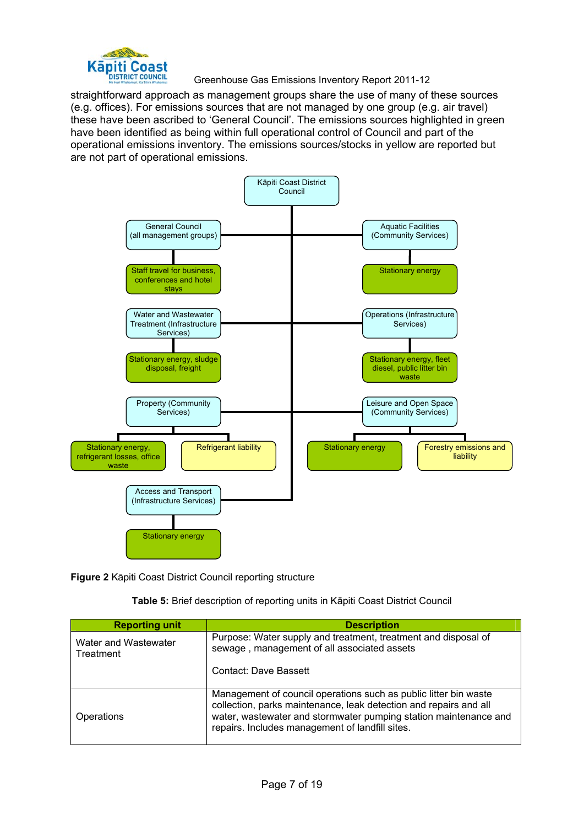

# **Kapiti Coast**<br> **Greenhouse Gas Emissions Inventory Report 2011-12**<br> **Greenhouse Gas Emissions Inventory Report 2011-12**

straightforward approach as management groups share the use of many of these sources (e.g. offices). For emissions sources that are not managed by one group (e.g. air travel) these have been ascribed to 'General Council'. The emissions sources highlighted in green have been identified as being within full operational control of Council and part of the operational emissions inventory. The emissions sources/stocks in yellow are reported but are not part of operational emissions.



**Figure 2** Kāpiti Coast District Council reporting structure

|  |  |  | Table 5: Brief description of reporting units in Kāpiti Coast District Council |
|--|--|--|--------------------------------------------------------------------------------|
|--|--|--|--------------------------------------------------------------------------------|

| <b>Reporting unit</b>             | <b>Description</b>                                                                                                                                                                                                                                           |
|-----------------------------------|--------------------------------------------------------------------------------------------------------------------------------------------------------------------------------------------------------------------------------------------------------------|
| Water and Wastewater<br>Treatment | Purpose: Water supply and treatment, treatment and disposal of<br>sewage, management of all associated assets                                                                                                                                                |
|                                   | Contact: Dave Bassett                                                                                                                                                                                                                                        |
| Operations                        | Management of council operations such as public litter bin waste<br>collection, parks maintenance, leak detection and repairs and all<br>water, wastewater and stormwater pumping station maintenance and<br>repairs. Includes management of landfill sites. |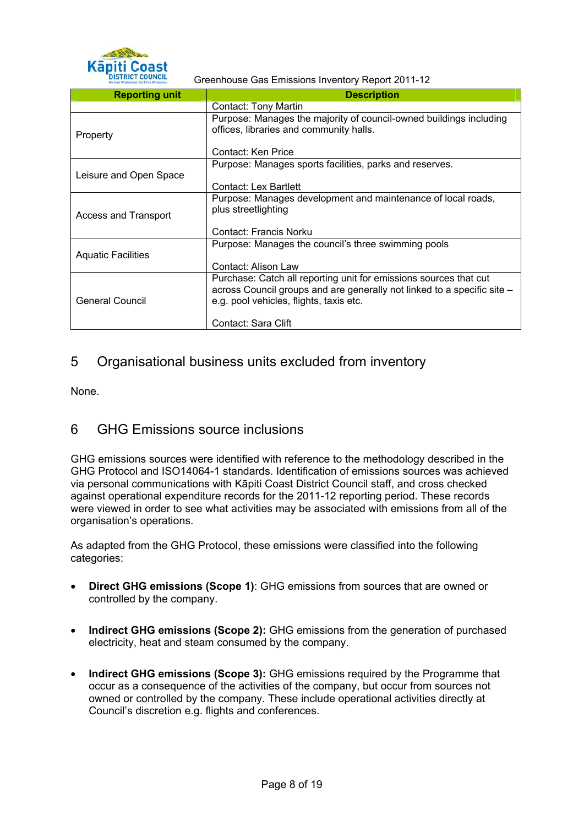

**Käpiti Coast**<br> **CORPORE GEGANDE GEGANDE GAS EMISSIONS Inventory Report 2011-12** 

| <b>Reporting unit</b>       | <b>Description</b>                                                                                                                                                                      |
|-----------------------------|-----------------------------------------------------------------------------------------------------------------------------------------------------------------------------------------|
|                             | Contact: Tony Martin                                                                                                                                                                    |
| Property                    | Purpose: Manages the majority of council-owned buildings including<br>offices, libraries and community halls.                                                                           |
|                             | Contact: Ken Price                                                                                                                                                                      |
|                             | Purpose: Manages sports facilities, parks and reserves.                                                                                                                                 |
| Leisure and Open Space      |                                                                                                                                                                                         |
|                             | Contact: Lex Bartlett                                                                                                                                                                   |
| <b>Access and Transport</b> | Purpose: Manages development and maintenance of local roads,<br>plus streetlighting                                                                                                     |
|                             | Contact: Francis Norku                                                                                                                                                                  |
| <b>Aquatic Facilities</b>   | Purpose: Manages the council's three swimming pools                                                                                                                                     |
|                             | Contact: Alison Law                                                                                                                                                                     |
| General Council             | Purchase: Catch all reporting unit for emissions sources that cut<br>across Council groups and are generally not linked to a specific site -<br>e.g. pool vehicles, flights, taxis etc. |
|                             | Contact: Sara Clift                                                                                                                                                                     |

### 5 Organisational business units excluded from inventory

None.

### 6 GHG Emissions source inclusions

GHG emissions sources were identified with reference to the methodology described in the GHG Protocol and ISO14064-1 standards. Identification of emissions sources was achieved via personal communications with Kāpiti Coast District Council staff, and cross checked against operational expenditure records for the 2011-12 reporting period. These records were viewed in order to see what activities may be associated with emissions from all of the organisation's operations.

As adapted from the GHG Protocol, these emissions were classified into the following categories:

- **Direct GHG emissions (Scope 1)**: GHG emissions from sources that are owned or controlled by the company.
- **Indirect GHG emissions (Scope 2):** GHG emissions from the generation of purchased electricity, heat and steam consumed by the company.
- **Indirect GHG emissions (Scope 3):** GHG emissions required by the Programme that occur as a consequence of the activities of the company, but occur from sources not owned or controlled by the company. These include operational activities directly at Council's discretion e.g. flights and conferences.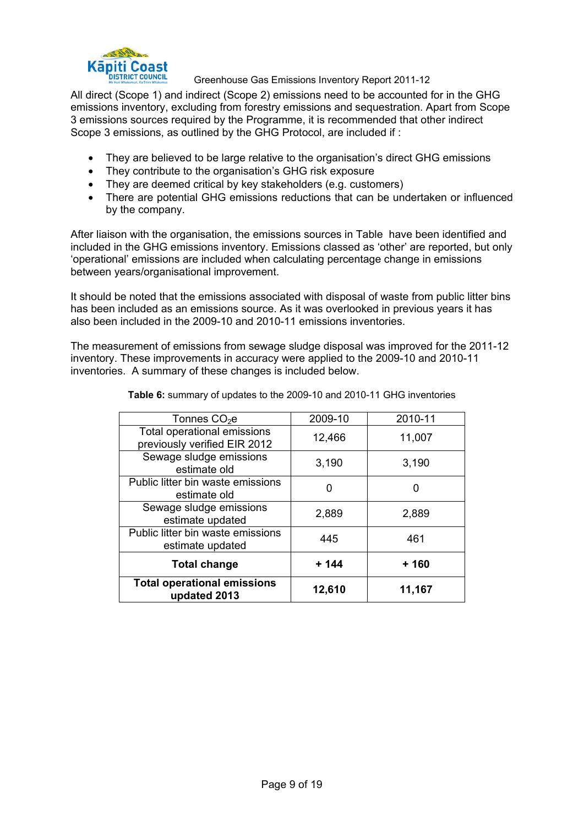

# **Kapiti Coast**<br> **CORPORE GEVALUATE:** Greenhouse Gas Emissions Inventory Report 2011-12

All direct (Scope 1) and indirect (Scope 2) emissions need to be accounted for in the GHG emissions inventory, excluding from forestry emissions and sequestration. Apart from Scope 3 emissions sources required by the Programme, it is recommended that other indirect Scope 3 emissions, as outlined by the GHG Protocol, are included if :

- They are believed to be large relative to the organisation's direct GHG emissions
- They contribute to the organisation's GHG risk exposure
- They are deemed critical by key stakeholders (e.g. customers)
- There are potential GHG emissions reductions that can be undertaken or influenced by the company.

After liaison with the organisation, the emissions sources in Table have been identified and included in the GHG emissions inventory. Emissions classed as 'other' are reported, but only 'operational' emissions are included when calculating percentage change in emissions between years/organisational improvement.

It should be noted that the emissions associated with disposal of waste from public litter bins has been included as an emissions source. As it was overlooked in previous years it has also been included in the 2009-10 and 2010-11 emissions inventories.

The measurement of emissions from sewage sludge disposal was improved for the 2011-12 inventory. These improvements in accuracy were applied to the 2009-10 and 2010-11 inventories. A summary of these changes is included below.

| Tonnes $CO2e$                                               | 2009-10 | 2010-11 |
|-------------------------------------------------------------|---------|---------|
| Total operational emissions<br>previously verified EIR 2012 | 12,466  | 11,007  |
| Sewage sludge emissions<br>estimate old                     | 3,190   | 3,190   |
| Public litter bin waste emissions<br>estimate old           |         |         |
| Sewage sludge emissions<br>estimate updated                 | 2,889   | 2,889   |
| Public litter bin waste emissions<br>estimate updated       | 445     | 461     |
| <b>Total change</b>                                         | $+ 144$ | + 160   |
| <b>Total operational emissions</b><br>updated 2013          | 12,610  | 11,167  |

**Table 6:** summary of updates to the 2009-10 and 2010-11 GHG inventories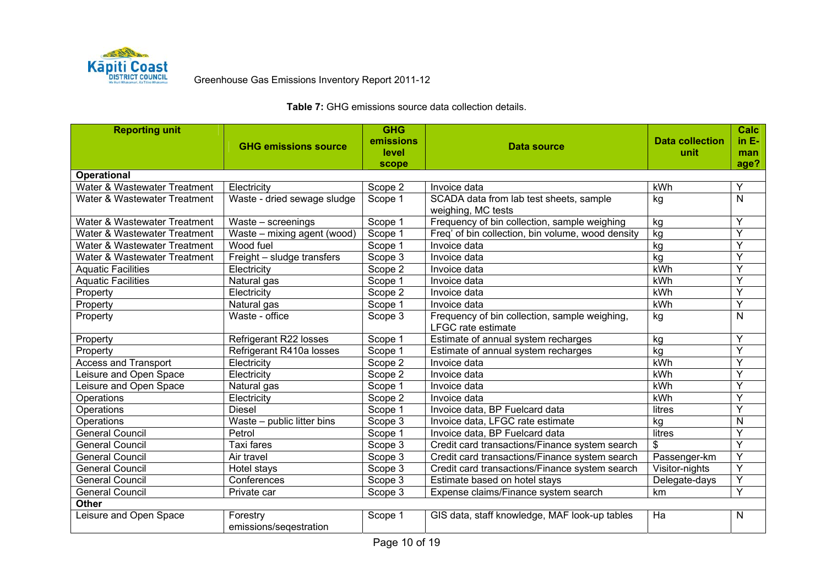

Greenhouse Gas Emissions Inventory Report 2011-12

| <b>Reporting unit</b>        |                             | <b>GHG</b> |                                                   |                        | <b>Calc</b>    |
|------------------------------|-----------------------------|------------|---------------------------------------------------|------------------------|----------------|
|                              | <b>GHG emissions source</b> | emissions  | <b>Data source</b>                                | <b>Data collection</b> | $in E-$        |
|                              |                             | level      |                                                   | unit                   | man            |
| <b>Operational</b>           |                             | scope      |                                                   |                        | age?           |
| Water & Wastewater Treatment | Electricity                 | Scope 2    | Invoice data                                      | kWh                    | Y              |
| Water & Wastewater Treatment | Waste - dried sewage sludge | Scope 1    | SCADA data from lab test sheets, sample           | kg                     | $\mathsf{N}$   |
|                              |                             |            | weighing, MC tests                                |                        |                |
| Water & Wastewater Treatment | Waste - screenings          | Scope 1    | Frequency of bin collection, sample weighing      | kg                     | Y              |
| Water & Wastewater Treatment | Waste - mixing agent (wood) | Scope 1    | Freq' of bin collection, bin volume, wood density | kg                     | Ÿ              |
| Water & Wastewater Treatment | Wood fuel                   | Scope 1    | Invoice data                                      | kg                     | Ÿ              |
| Water & Wastewater Treatment | Freight - sludge transfers  | Scope 3    | Invoice data                                      | kg                     | Y              |
| <b>Aquatic Facilities</b>    | Electricity                 | Scope 2    | Invoice data                                      | kWh                    | Y              |
| <b>Aquatic Facilities</b>    | Natural gas                 | Scope 1    | Invoice data                                      | kWh                    | Y              |
| Property                     | Electricity                 | Scope 2    | Invoice data                                      | kWh                    | Y              |
| Property                     | Natural gas                 | Scope 1    | Invoice data                                      | kWh                    | Y              |
| Property                     | Waste - office              | Scope 3    | Frequency of bin collection, sample weighing,     | kg                     | $\mathsf{N}$   |
|                              |                             |            | <b>LFGC rate estimate</b>                         |                        |                |
| Property                     | Refrigerant R22 losses      | Scope 1    | Estimate of annual system recharges               | kg                     | Y              |
| Property                     | Refrigerant R410a losses    | Scope 1    | Estimate of annual system recharges               | kg                     | Y              |
| <b>Access and Transport</b>  | Electricity                 | Scope 2    | Invoice data                                      | kWh                    | Y              |
| Leisure and Open Space       | Electricity                 | Scope 2    | Invoice data                                      | kWh                    | Y              |
| Leisure and Open Space       | Natural gas                 | Scope 1    | Invoice data                                      | kWh                    | Ÿ              |
| Operations                   | Electricity                 | Scope 2    | Invoice data                                      | kWh                    | Ÿ              |
| Operations                   | <b>Diesel</b>               | Scope 1    | Invoice data, BP Fuelcard data                    | litres                 | Y              |
| Operations                   | Waste - public litter bins  | Scope 3    | Invoice data, LFGC rate estimate                  | kg                     | N              |
| <b>General Council</b>       | Petrol                      | Scope 1    | Invoice data, BP Fuelcard data                    | <b>litres</b>          | $\overline{Y}$ |
| <b>General Council</b>       | Taxi fares                  | Scope 3    | Credit card transactions/Finance system search    | \$                     | Ÿ              |
| <b>General Council</b>       | Air travel                  | Scope 3    | Credit card transactions/Finance system search    | Passenger-km           | $\overline{Y}$ |
| <b>General Council</b>       | Hotel stays                 | Scope 3    | Credit card transactions/Finance system search    | Visitor-nights         | Ÿ              |
| <b>General Council</b>       | Conferences                 | Scope 3    | Estimate based on hotel stays                     | Delegate-days          | Y              |
| <b>General Council</b>       | Private car                 | Scope 3    | Expense claims/Finance system search              | km                     | Y              |
| <b>Other</b>                 |                             |            |                                                   |                        |                |
| Leisure and Open Space       | Forestry                    | Scope 1    | GIS data, staff knowledge, MAF look-up tables     | Ha                     | N              |
|                              | emissions/seqestration      |            |                                                   |                        |                |

#### **Table 7:** GHG emissions source data collection details.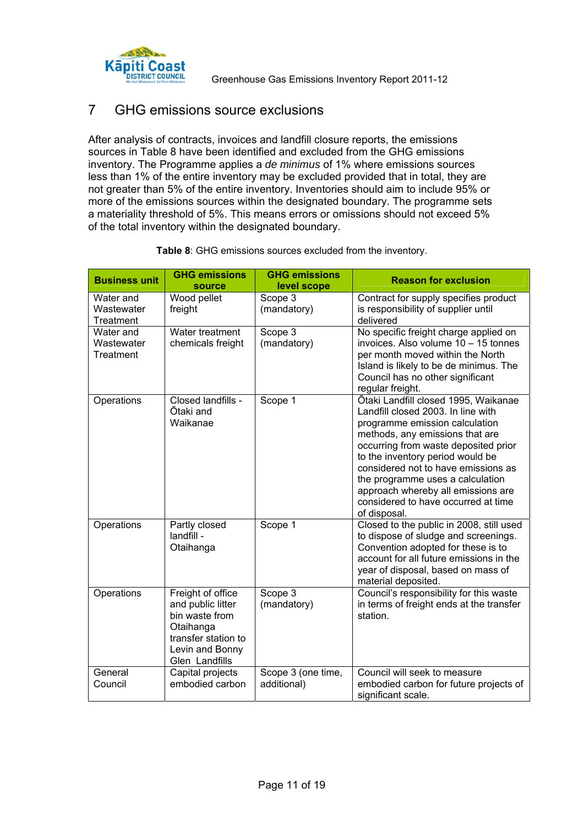

Greenhouse Gas Emissions Inventory Report 2011-12

### 7 GHG emissions source exclusions

After analysis of contracts, invoices and landfill closure reports, the emissions sources in Table 8 have been identified and excluded from the GHG emissions inventory. The Programme applies a *de minimus* of 1% where emissions sources less than 1% of the entire inventory may be excluded provided that in total, they are not greater than 5% of the entire inventory. Inventories should aim to include 95% or more of the emissions sources within the designated boundary. The programme sets a materiality threshold of 5%. This means errors or omissions should not exceed 5% of the total inventory within the designated boundary.

| <b>Business unit</b>                 | <b>GHG emissions</b><br>source                                                                                                    | <b>GHG emissions</b><br>level scope | <b>Reason for exclusion</b>                                                                                                                                                                                                                                                                                                                                                                         |
|--------------------------------------|-----------------------------------------------------------------------------------------------------------------------------------|-------------------------------------|-----------------------------------------------------------------------------------------------------------------------------------------------------------------------------------------------------------------------------------------------------------------------------------------------------------------------------------------------------------------------------------------------------|
| Water and<br>Wastewater<br>Treatment | Wood pellet<br>freight                                                                                                            | Scope 3<br>(mandatory)              | Contract for supply specifies product<br>is responsibility of supplier until<br>delivered                                                                                                                                                                                                                                                                                                           |
| Water and<br>Wastewater<br>Treatment | Water treatment<br>chemicals freight                                                                                              | Scope 3<br>(mandatory)              | No specific freight charge applied on<br>invoices. Also volume 10 - 15 tonnes<br>per month moved within the North<br>Island is likely to be de minimus. The<br>Council has no other significant<br>regular freight.                                                                                                                                                                                 |
| Operations                           | Closed landfills -<br>Ōtaki and<br>Waikanae                                                                                       | Scope 1                             | Ōtaki Landfill closed 1995, Waikanae<br>Landfill closed 2003. In line with<br>programme emission calculation<br>methods, any emissions that are<br>occurring from waste deposited prior<br>to the inventory period would be<br>considered not to have emissions as<br>the programme uses a calculation<br>approach whereby all emissions are<br>considered to have occurred at time<br>of disposal. |
| Operations                           | Partly closed<br>landfill -<br>Otaihanga                                                                                          | Scope 1                             | Closed to the public in 2008, still used<br>to dispose of sludge and screenings.<br>Convention adopted for these is to<br>account for all future emissions in the<br>year of disposal, based on mass of<br>material deposited.                                                                                                                                                                      |
| Operations                           | Freight of office<br>and public litter<br>bin waste from<br>Otaihanga<br>transfer station to<br>Levin and Bonny<br>Glen Landfills | Scope 3<br>(mandatory)              | Council's responsibility for this waste<br>in terms of freight ends at the transfer<br>station.                                                                                                                                                                                                                                                                                                     |
| General<br>Council                   | Capital projects<br>embodied carbon                                                                                               | Scope 3 (one time,<br>additional)   | Council will seek to measure<br>embodied carbon for future projects of<br>significant scale.                                                                                                                                                                                                                                                                                                        |

#### **Table 8**: GHG emissions sources excluded from the inventory.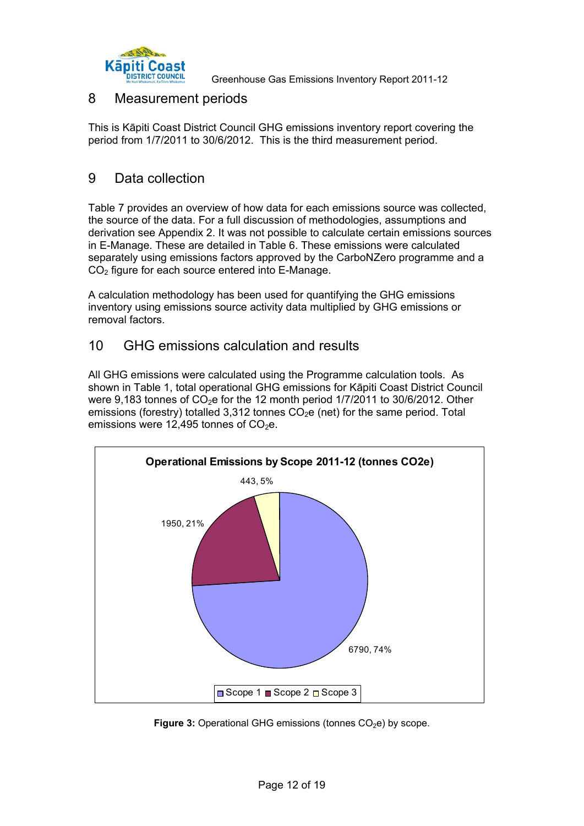

**Kapiti Coast**<br>**CORPORE: GERVICE GERVICE GAS EMISSIONS Inventory Report 2011-12** 

### 8 Measurement periods

This is Kāpiti Coast District Council GHG emissions inventory report covering the period from 1/7/2011 to 30/6/2012. This is the third measurement period.

### 9 Data collection

Table 7 provides an overview of how data for each emissions source was collected, the source of the data. For a full discussion of methodologies, assumptions and derivation see Appendix 2. It was not possible to calculate certain emissions sources in E-Manage. These are detailed in Table 6. These emissions were calculated separately using emissions factors approved by the CarboNZero programme and a CO<sub>2</sub> figure for each source entered into E-Manage.

A calculation methodology has been used for quantifying the GHG emissions inventory using emissions source activity data multiplied by GHG emissions or removal factors.

### 10 GHG emissions calculation and results

All GHG emissions were calculated using the Programme calculation tools. As shown in Table 1, total operational GHG emissions for Kāpiti Coast District Council were 9,183 tonnes of  $CO<sub>2</sub>e$  for the 12 month period 1/7/2011 to 30/6/2012. Other emissions (forestry) totalled 3,312 tonnes  $CO<sub>2</sub>e$  (net) for the same period. Total emissions were 12,495 tonnes of  $CO<sub>2</sub>e$ .



**Figure 3:** Operational GHG emissions (tonnes CO<sub>2</sub>e) by scope.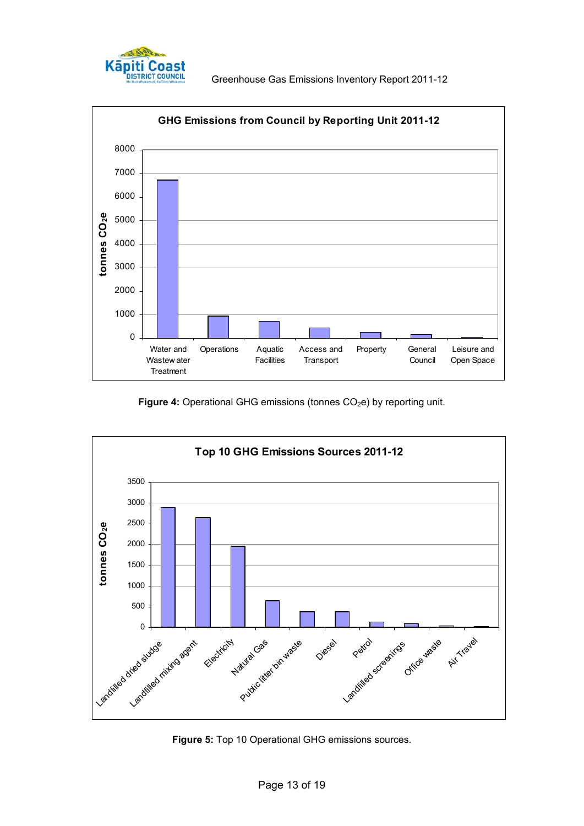



Figure 4: Operational GHG emissions (tonnes CO<sub>2</sub>e) by reporting unit.



**Figure 5:** Top 10 Operational GHG emissions sources.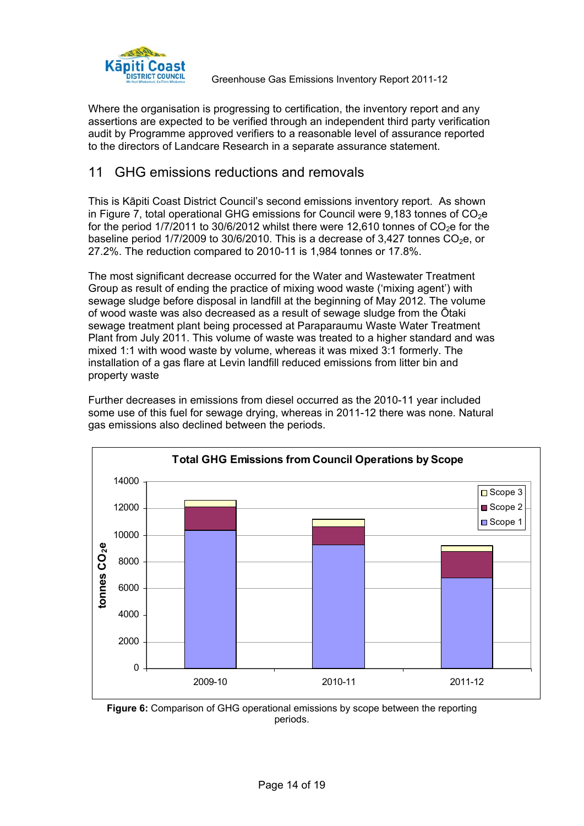

**Kapiti Coast**<br> **CORPORE COUNCIL** Greenhouse Gas Emissions Inventory Report 2011-12

Where the organisation is progressing to certification, the inventory report and any assertions are expected to be verified through an independent third party verification audit by Programme approved verifiers to a reasonable level of assurance reported to the directors of Landcare Research in a separate assurance statement.

### 11 GHG emissions reductions and removals

This is Kāpiti Coast District Council's second emissions inventory report. As shown in Figure 7, total operational GHG emissions for Council were  $9.183$  tonnes of  $CO<sub>2</sub>e$ for the period  $1/7/2011$  to  $30/6/2012$  whilst there were 12,610 tonnes of  $CO<sub>2</sub>e$  for the baseline period  $1/7/2009$  to  $30/6/2010$ . This is a decrease of  $3.427$  tonnes  $CO<sub>2</sub>e$ , or 27.2%. The reduction compared to 2010-11 is 1,984 tonnes or 17.8%.

The most significant decrease occurred for the Water and Wastewater Treatment Group as result of ending the practice of mixing wood waste ('mixing agent') with sewage sludge before disposal in landfill at the beginning of May 2012. The volume of wood waste was also decreased as a result of sewage sludge from the Ōtaki sewage treatment plant being processed at Paraparaumu Waste Water Treatment Plant from July 2011. This volume of waste was treated to a higher standard and was mixed 1:1 with wood waste by volume, whereas it was mixed 3:1 formerly. The installation of a gas flare at Levin landfill reduced emissions from litter bin and property waste

Further decreases in emissions from diesel occurred as the 2010-11 year included some use of this fuel for sewage drying, whereas in 2011-12 there was none. Natural gas emissions also declined between the periods.



**Figure 6:** Comparison of GHG operational emissions by scope between the reporting periods.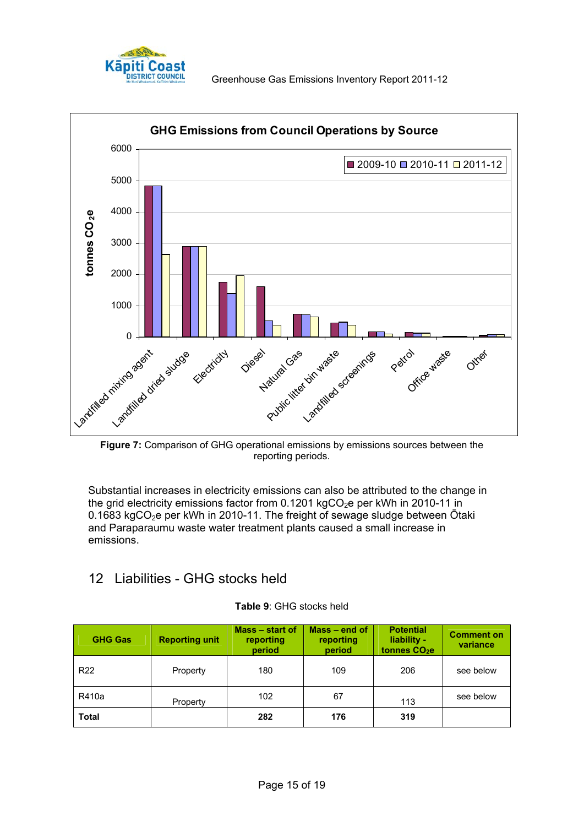



**Figure 7:** Comparison of GHG operational emissions by emissions sources between the reporting periods.

Substantial increases in electricity emissions can also be attributed to the change in the grid electricity emissions factor from  $0.1201$  kgCO<sub>2</sub>e per kWh in 2010-11 in 0.1683 kgCO<sub>2</sub>e per kWh in 2010-11. The freight of sewage sludge between  $\bar{O}$ taki and Paraparaumu waste water treatment plants caused a small increase in emissions.

## 12 Liabilities - GHG stocks held

| <b>GHG Gas</b>  | <b>Reporting unit</b> | Mass – start of<br>reporting<br>period | $Mass - end of$<br>reporting<br>period | <b>Potential</b><br>liability -<br>tonnes CO <sub>2</sub> e | <b>Comment on</b><br>variance |
|-----------------|-----------------------|----------------------------------------|----------------------------------------|-------------------------------------------------------------|-------------------------------|
| R <sub>22</sub> | Property              | 180                                    | 109                                    | 206                                                         | see below                     |
| R410a           | Property              | 102                                    | 67                                     | 113                                                         | see below                     |
| <b>Total</b>    |                       | 282                                    | 176                                    | 319                                                         |                               |

#### **Table 9**: GHG stocks held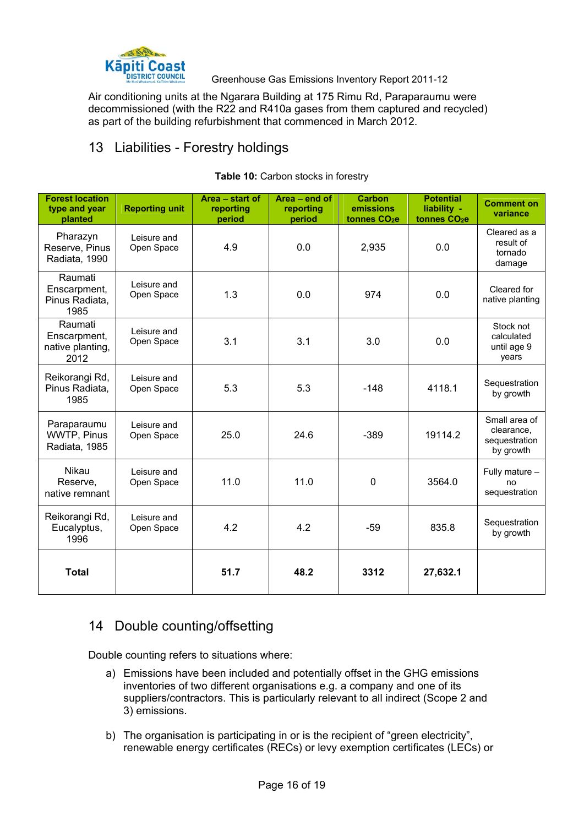

**Käpiti Coast**<br> **CORAGO CONCIL GREEN GEST GEST CONCILED AS EMISSIONS Inventory Report 2011-12** 

Air conditioning units at the Ngarara Building at 175 Rimu Rd, Paraparaumu were decommissioned (with the R22 and R410a gases from them captured and recycled) as part of the building refurbishment that commenced in March 2012.

### 13 Liabilities - Forestry holdings

| <b>Forest location</b><br>type and year<br>planted  | <b>Reporting unit</b>     | Area - start of<br>reporting<br>period | Area - end of<br>reporting<br>period | <b>Carbon</b><br>emissions<br>tonnes CO <sub>2</sub> e | <b>Potential</b><br>liability -<br>tonnes CO <sub>2</sub> e | <b>Comment on</b><br>variance                             |
|-----------------------------------------------------|---------------------------|----------------------------------------|--------------------------------------|--------------------------------------------------------|-------------------------------------------------------------|-----------------------------------------------------------|
| Pharazyn<br>Reserve, Pinus<br>Radiata, 1990         | Leisure and<br>Open Space | 4.9                                    | 0.0                                  | 2,935                                                  | 0.0                                                         | Cleared as a<br>result of<br>tornado<br>damage            |
| Raumati<br>Enscarpment,<br>Pinus Radiata,<br>1985   | Leisure and<br>Open Space | 1.3                                    | 0.0                                  | 974                                                    | 0.0                                                         | Cleared for<br>native planting                            |
| Raumati<br>Enscarpment,<br>native planting,<br>2012 | Leisure and<br>Open Space | 3.1                                    | 3.1                                  | 3.0                                                    | 0.0                                                         | Stock not<br>calculated<br>until age 9<br>years           |
| Reikorangi Rd,<br>Pinus Radiata,<br>1985            | Leisure and<br>Open Space | 5.3                                    | 5.3                                  | $-148$                                                 | 4118.1                                                      | Sequestration<br>by growth                                |
| Paraparaumu<br>WWTP, Pinus<br>Radiata, 1985         | Leisure and<br>Open Space | 25.0                                   | 24.6                                 | $-389$                                                 | 19114.2                                                     | Small area of<br>clearance,<br>sequestration<br>by growth |
| Nikau<br>Reserve.<br>native remnant                 | Leisure and<br>Open Space | 11.0                                   | 11.0                                 | $\mathbf 0$                                            | 3564.0                                                      | Fully mature -<br>no<br>sequestration                     |
| Reikorangi Rd,<br>Eucalyptus,<br>1996               | Leisure and<br>Open Space | 4.2                                    | 4.2                                  | $-59$                                                  | 835.8                                                       | Sequestration<br>by growth                                |
| <b>Total</b>                                        |                           | 51.7                                   | 48.2                                 | 3312                                                   | 27,632.1                                                    |                                                           |

#### Table 10: Carbon stocks in forestry

### 14 Double counting/offsetting

Double counting refers to situations where:

- a) Emissions have been included and potentially offset in the GHG emissions inventories of two different organisations e.g. a company and one of its suppliers/contractors. This is particularly relevant to all indirect (Scope 2 and 3) emissions.
- b) The organisation is participating in or is the recipient of "green electricity", renewable energy certificates (RECs) or levy exemption certificates (LECs) or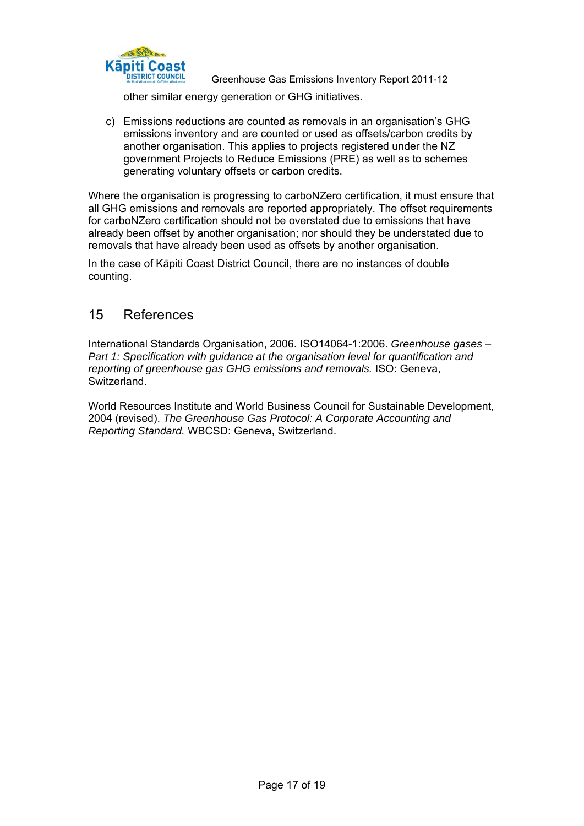

**Käpiti Coast**<br> **CORAGO GREEN GESTARY CONCLETED GESTARY CONCOCO GREEN CONCOCO GESTARY GEGAN GESTARY CONCOCO GETS**<br>
GREENLOUSE GAS EMISSIONS Inventory Report 2011-12

other similar energy generation or GHG initiatives.

c) Emissions reductions are counted as removals in an organisation's GHG emissions inventory and are counted or used as offsets/carbon credits by another organisation. This applies to projects registered under the NZ government Projects to Reduce Emissions (PRE) as well as to schemes generating voluntary offsets or carbon credits.

Where the organisation is progressing to carboNZero certification, it must ensure that all GHG emissions and removals are reported appropriately. The offset requirements for carboNZero certification should not be overstated due to emissions that have already been offset by another organisation; nor should they be understated due to removals that have already been used as offsets by another organisation.

In the case of Kāpiti Coast District Council, there are no instances of double counting.

### 15 References

International Standards Organisation, 2006. ISO14064-1:2006. *Greenhouse gases – Part 1: Specification with guidance at the organisation level for quantification and reporting of greenhouse gas GHG emissions and removals.* ISO: Geneva, Switzerland.

World Resources Institute and World Business Council for Sustainable Development, 2004 (revised). *The Greenhouse Gas Protocol: A Corporate Accounting and Reporting Standard.* WBCSD: Geneva, Switzerland.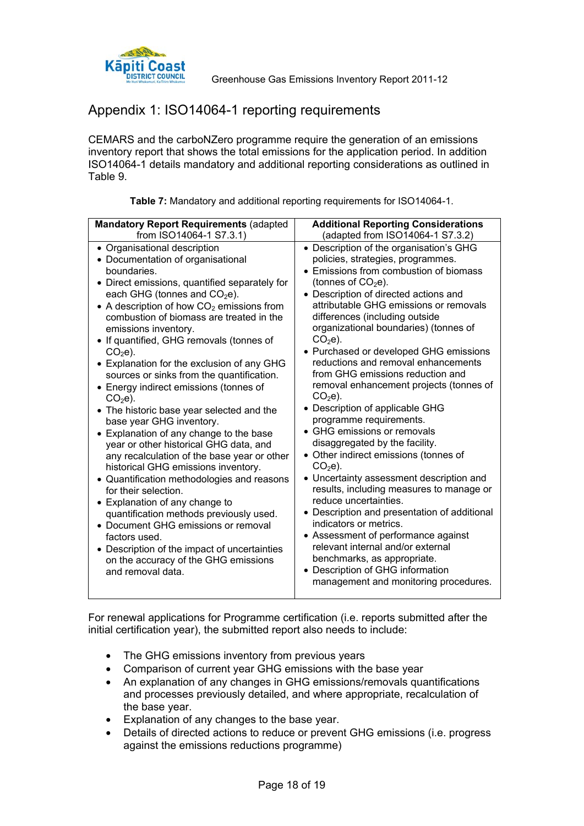

### Appendix 1: ISO14064-1 reporting requirements

CEMARS and the carboNZero programme require the generation of an emissions inventory report that shows the total emissions for the application period. In addition ISO14064-1 details mandatory and additional reporting considerations as outlined in Table 9.

| <b>Mandatory Report Requirements (adapted</b>                                                                                                                                                                                                                                                                                                                                                                                                                                                                                                                                                                                                                                                                                                                                                                                                                                                                                                                                                                                                                                 | <b>Additional Reporting Considerations</b>                                                                                                                                                                                                                                                                                                                                                                                                                                                                                                                                                                                                                                                                                                                                                                                                                                                                                                                                                                                                                                     |  |  |
|-------------------------------------------------------------------------------------------------------------------------------------------------------------------------------------------------------------------------------------------------------------------------------------------------------------------------------------------------------------------------------------------------------------------------------------------------------------------------------------------------------------------------------------------------------------------------------------------------------------------------------------------------------------------------------------------------------------------------------------------------------------------------------------------------------------------------------------------------------------------------------------------------------------------------------------------------------------------------------------------------------------------------------------------------------------------------------|--------------------------------------------------------------------------------------------------------------------------------------------------------------------------------------------------------------------------------------------------------------------------------------------------------------------------------------------------------------------------------------------------------------------------------------------------------------------------------------------------------------------------------------------------------------------------------------------------------------------------------------------------------------------------------------------------------------------------------------------------------------------------------------------------------------------------------------------------------------------------------------------------------------------------------------------------------------------------------------------------------------------------------------------------------------------------------|--|--|
| from ISO14064-1 S7.3.1)                                                                                                                                                                                                                                                                                                                                                                                                                                                                                                                                                                                                                                                                                                                                                                                                                                                                                                                                                                                                                                                       | (adapted from ISO14064-1 S7.3.2)                                                                                                                                                                                                                                                                                                                                                                                                                                                                                                                                                                                                                                                                                                                                                                                                                                                                                                                                                                                                                                               |  |  |
| • Organisational description<br>• Documentation of organisational<br>boundaries.<br>• Direct emissions, quantified separately for<br>each GHG (tonnes and $CO2e$ ).<br>• A description of how $CO2$ emissions from<br>combustion of biomass are treated in the<br>emissions inventory.<br>• If quantified, GHG removals (tonnes of<br>$CO2e$ ).<br>• Explanation for the exclusion of any GHG<br>sources or sinks from the quantification.<br>• Energy indirect emissions (tonnes of<br>$CO2e$ ).<br>• The historic base year selected and the<br>base year GHG inventory.<br>• Explanation of any change to the base<br>year or other historical GHG data, and<br>any recalculation of the base year or other<br>historical GHG emissions inventory.<br>• Quantification methodologies and reasons<br>for their selection.<br>• Explanation of any change to<br>quantification methods previously used.<br>• Document GHG emissions or removal<br>factors used.<br>• Description of the impact of uncertainties<br>on the accuracy of the GHG emissions<br>and removal data. | • Description of the organisation's GHG<br>policies, strategies, programmes.<br>• Emissions from combustion of biomass<br>(tonnes of $CO2e$ ).<br>• Description of directed actions and<br>attributable GHG emissions or removals<br>differences (including outside<br>organizational boundaries) (tonnes of<br>$CO2e$ ).<br>• Purchased or developed GHG emissions<br>reductions and removal enhancements<br>from GHG emissions reduction and<br>removal enhancement projects (tonnes of<br>$CO2e$ ).<br>• Description of applicable GHG<br>programme requirements.<br>• GHG emissions or removals<br>disaggregated by the facility.<br>• Other indirect emissions (tonnes of<br>$CO2e$ ).<br>• Uncertainty assessment description and<br>results, including measures to manage or<br>reduce uncertainties.<br>• Description and presentation of additional<br>indicators or metrics.<br>• Assessment of performance against<br>relevant internal and/or external<br>benchmarks, as appropriate.<br>• Description of GHG information<br>management and monitoring procedures. |  |  |

**Table 7:** Mandatory and additional reporting requirements for ISO14064-1.

For renewal applications for Programme certification (i.e. reports submitted after the initial certification year), the submitted report also needs to include:

- The GHG emissions inventory from previous years
- Comparison of current year GHG emissions with the base year
- An explanation of any changes in GHG emissions/removals quantifications and processes previously detailed, and where appropriate, recalculation of the base year.
- Explanation of any changes to the base year.
- Details of directed actions to reduce or prevent GHG emissions (i.e. progress against the emissions reductions programme)